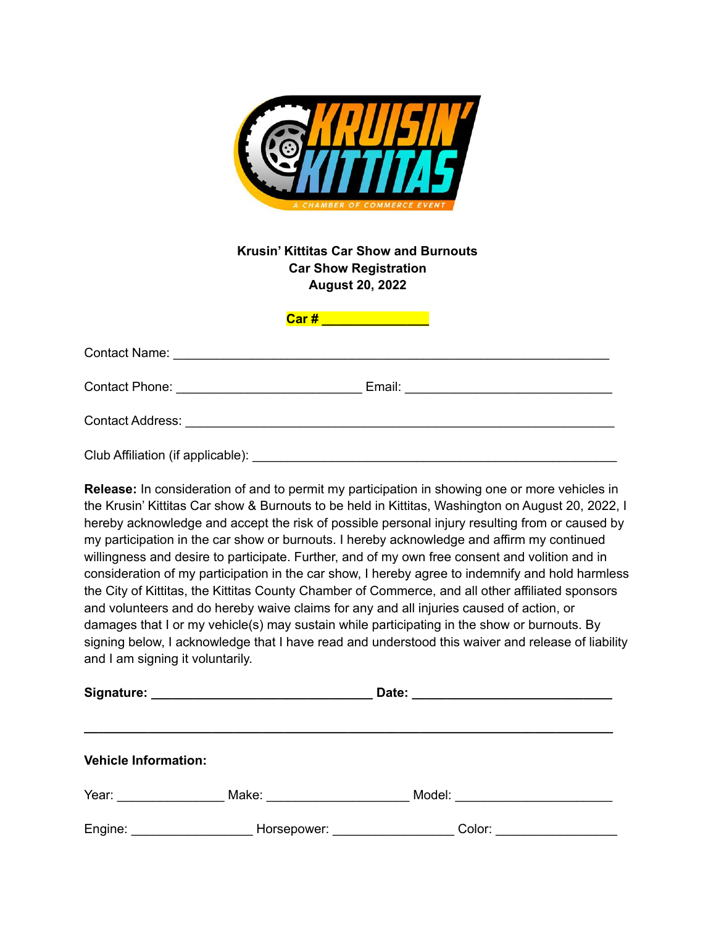

## **Krusin' Kittitas Car Show and Burnouts Car Show Registration August 20, 2022**

| Contact Address: Contact Address: |  |
|-----------------------------------|--|
| Club Affiliation (if applicable): |  |

**Car # \_\_\_\_\_\_\_\_\_\_\_\_\_\_\_**

**Release:** In consideration of and to permit my participation in showing one or more vehicles in the Krusin' Kittitas Car show & Burnouts to be held in Kittitas, Washington on August 20, 2022, I hereby acknowledge and accept the risk of possible personal injury resulting from or caused by my participation in the car show or burnouts. I hereby acknowledge and affirm my continued willingness and desire to participate. Further, and of my own free consent and volition and in consideration of my participation in the car show, I hereby agree to indemnify and hold harmless the City of Kittitas, the Kittitas County Chamber of Commerce, and all other affiliated sponsors and volunteers and do hereby waive claims for any and all injuries caused of action, or damages that I or my vehicle(s) may sustain while participating in the show or burnouts. By signing below, I acknowledge that I have read and understood this waiver and release of liability and I am signing it voluntarily.

| <b>Vehicle Information:</b> |                                                                                                                                                                                                                                |                                    |  |
|-----------------------------|--------------------------------------------------------------------------------------------------------------------------------------------------------------------------------------------------------------------------------|------------------------------------|--|
| Year: William March 2014    |                                                                                                                                                                                                                                | Model: ___________________________ |  |
| Engine: ___________________ | Horsepower: National Property of the Marian Company of the Marian Company of the Marian Company of the Marian Company of the Marian Company of the Marian Company of the Marian Company of the Marian Company of the Marian Co |                                    |  |